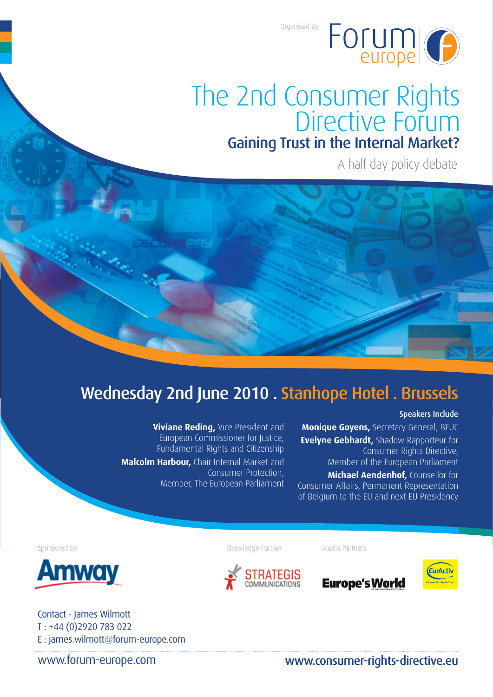Organised by



# The 2nd Consumer Rights<br>Directive Forum Gaining Trust in the Internal Market?

A half day policy debate

# Wednesday 2nd June 2010 . Stanhope Hotel . Brussels

**Viviane Reding, Vice President and** European Commissioner for Justice, Fundamental Rights and Citizenship **Malcolm Harbour,** Chair Internal Market and Consumer Protection, Member, The European Parliament

#### Speakers Include

**Monique Goyens,** Secretary General, BEUC **Evelyne Gebhardt,** Shadow Rapporteur for Consumer Rights Directive, Member of the European Parliament

**Michael Aendenhof,** Counsellor for Consumer Affairs, Permanent Representation of Belgium to the EU and next EU Presidency

Sponsored by



Contact - James Wilmott T : +44 (0)2920 783 022 E : james.wilmott@forum-europe.com

Knowledge Partner Media Partners





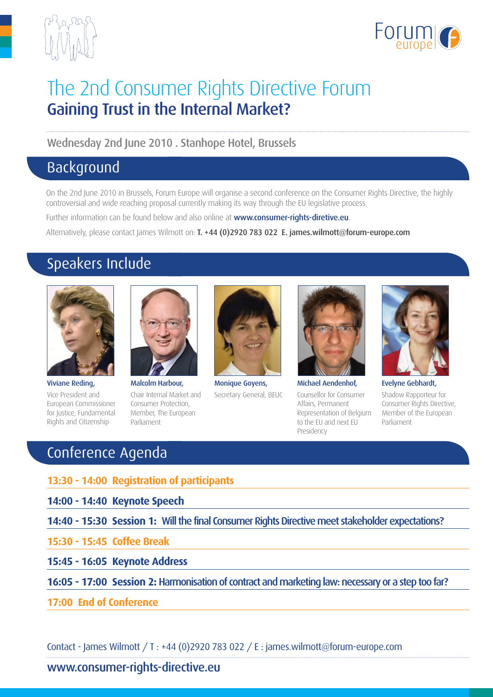



# The 2nd Consumer Rights Directive Forum Gaining Trust in the Internal Market?

Wednesday 2nd June 2010 . Stanhope Hotel, Brussels

## Background

On the 2nd June 2010 in Brussels, Forum Europe will organise a second conference on the Consumer Rights Directive, the highly controversial and wide reaching proposal currently making its way through the EU legislative process.

Further information can be found below and also online at www.consumer-rights-diretive.eu.

Alternatively, please contact James Wilmott on: T. +44 (0)2920 783 022 E. james.wilmott@forum-europe.com

# Speakers Include



Viviane Reding, Vice President and European Commissioner for Justice, Fundamental Rights and Citizenship



Malcolm Harbour, Chair Internal Market and Consumer Protection, Member, The European Parliament



Monique Goyens, Secretary General, BEUC



Michael Aendenhof, Counsellor for Consumer Affairs, Permanent Representation of Belgium to the EU and next EU Presidency



Evelyne Gebhardt, Shadow Rapporteur for Consumer Rights Directive, Member of the European Parliament

# Conference Agenda

- **13:30 14:00 Registration of participants**
- **14:00 14:40 Keynote Speech**
- **14:40 15:30 Session 1:** Will the final Consumer Rights Directive meet stakeholder expectations?
- **15:30 15:45 Coffee Break**
- **15:45 16:05 Keynote Address**
- **16:05 17:00 Session 2:** Harmonisation of contract and marketing law: necessary or a step too far?
- **17:00 End of Conference**

Contact - James Wilmott / T : +44 (0)2920 783 022 / E : james.wilmott@forum-europe.com

### www.consumer-rights-directive.eu